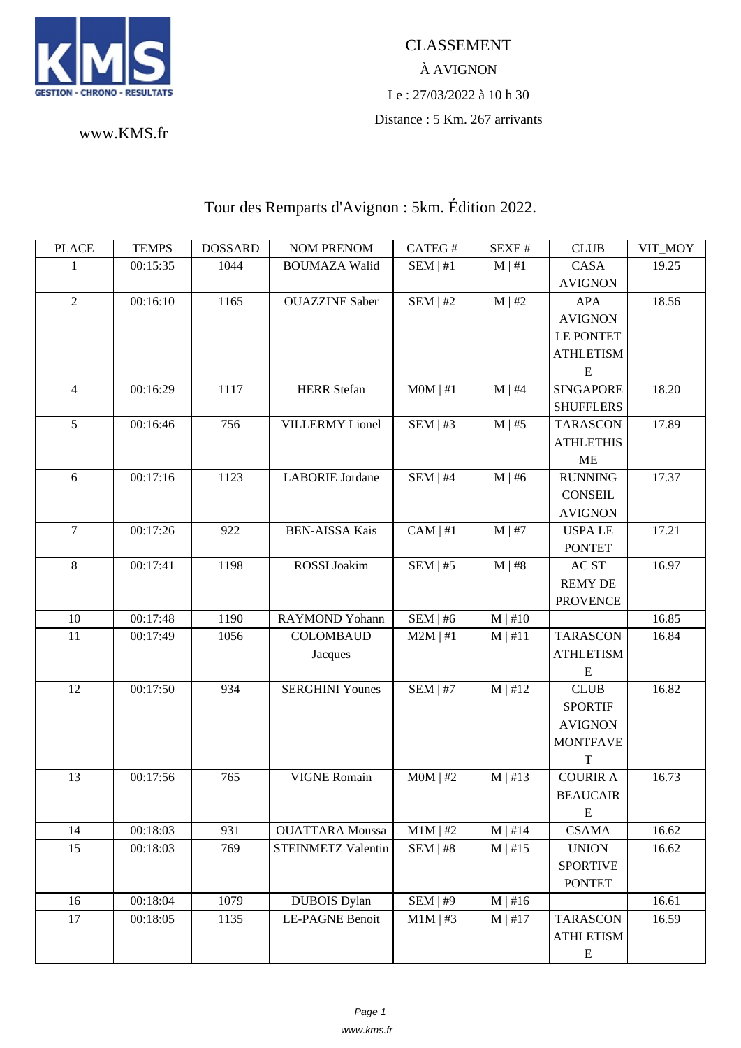

## À AVIGNON Le : 27/03/2022 à 10 h 30 Distance : 5 Km. 267 arrivants

www.KMS.fr

## Tour des Remparts d'Avignon : 5km. Édition 2022.

| <b>PLACE</b>   | <b>TEMPS</b> | <b>DOSSARD</b> | <b>NOM PRENOM</b>      | CATEG#        | SEXE #       | <b>CLUB</b>      | VIT_MOY |
|----------------|--------------|----------------|------------------------|---------------|--------------|------------------|---------|
| 1              | 00:15:35     | 1044           | <b>BOUMAZA Walid</b>   | $SEM$   #1    | $M \mid #1$  | CASA             | 19.25   |
|                |              |                |                        |               |              | <b>AVIGNON</b>   |         |
| $\overline{2}$ | 00:16:10     | 1165           | <b>OUAZZINE</b> Saber  | SEM   #2      | $M \mid #2$  | <b>APA</b>       | 18.56   |
|                |              |                |                        |               |              | <b>AVIGNON</b>   |         |
|                |              |                |                        |               |              | <b>LE PONTET</b> |         |
|                |              |                |                        |               |              | <b>ATHLETISM</b> |         |
|                |              |                |                        |               |              | E                |         |
| $\overline{4}$ | 00:16:29     | 1117           | <b>HERR</b> Stefan     | MOM   #1      | $M \mid #4$  | <b>SINGAPORE</b> | 18.20   |
|                |              |                |                        |               |              | <b>SHUFFLERS</b> |         |
| 5              | 00:16:46     | 756            | <b>VILLERMY</b> Lionel | SEM   #3      | $M \mid #5$  | <b>TARASCON</b>  | 17.89   |
|                |              |                |                        |               |              | <b>ATHLETHIS</b> |         |
|                |              |                |                        |               |              | <b>ME</b>        |         |
| 6              | 00:17:16     | 1123           | <b>LABORIE</b> Jordane | SEM   #4      | $M \mid #6$  | <b>RUNNING</b>   | 17.37   |
|                |              |                |                        |               |              | <b>CONSEIL</b>   |         |
|                |              |                |                        |               |              | <b>AVIGNON</b>   |         |
| $\overline{7}$ | 00:17:26     | 922            | <b>BEN-AISSA Kais</b>  | $CAM \mid #1$ | $M$   #7     | <b>USPALE</b>    | 17.21   |
|                |              |                |                        |               |              | <b>PONTET</b>    |         |
| 8              | 00:17:41     | 1198           | <b>ROSSI</b> Joakim    | SEM   #5      | M   #8       | AC ST            | 16.97   |
|                |              |                |                        |               |              | <b>REMY DE</b>   |         |
|                |              |                |                        |               |              | <b>PROVENCE</b>  |         |
| 10             | 00:17:48     | 1190           | <b>RAYMOND Yohann</b>  | SEM   #6      | $M \mid #10$ |                  | 16.85   |
| 11             | 00:17:49     | 1056           | <b>COLOMBAUD</b>       | $M2M$   #1    | $M$   #11    | <b>TARASCON</b>  | 16.84   |
|                |              |                | Jacques                |               |              | <b>ATHLETISM</b> |         |
|                |              |                |                        |               |              | E                |         |
| 12             | 00:17:50     | 934            | <b>SERGHINI Younes</b> | $SEM$   #7    | $M$   #12    | <b>CLUB</b>      | 16.82   |
|                |              |                |                        |               |              | <b>SPORTIF</b>   |         |
|                |              |                |                        |               |              | <b>AVIGNON</b>   |         |
|                |              |                |                        |               |              | <b>MONTFAVE</b>  |         |
|                |              |                |                        |               |              | $\mathbf T$      |         |
| 13             | 00:17:56     | 765            | <b>VIGNE Romain</b>    | $MOM$   #2    | $M \mid #13$ | <b>COURIR A</b>  | 16.73   |
|                |              |                |                        |               |              | <b>BEAUCAIR</b>  |         |
|                |              |                |                        |               |              | E                |         |
| 14             | 00:18:03     | 931            | <b>OUATTARA</b> Moussa | $M1M$   #2    | $M \mid #14$ | <b>CSAMA</b>     | 16.62   |
| 15             | 00:18:03     | 769            | STEINMETZ Valentin     | SEM   #8      | $M \mid #15$ | <b>UNION</b>     | 16.62   |
|                |              |                |                        |               |              | <b>SPORTIVE</b>  |         |
|                |              |                |                        |               |              | <b>PONTET</b>    |         |
| 16             | 00:18:04     | 1079           | <b>DUBOIS</b> Dylan    | SEM   #9      | $M \mid #16$ |                  | 16.61   |
| 17             | 00:18:05     | 1135           | LE-PAGNE Benoit        | $M1M$   #3    | $M$   #17    | <b>TARASCON</b>  | 16.59   |
|                |              |                |                        |               |              | <b>ATHLETISM</b> |         |
|                |              |                |                        |               |              | ${\bf E}$        |         |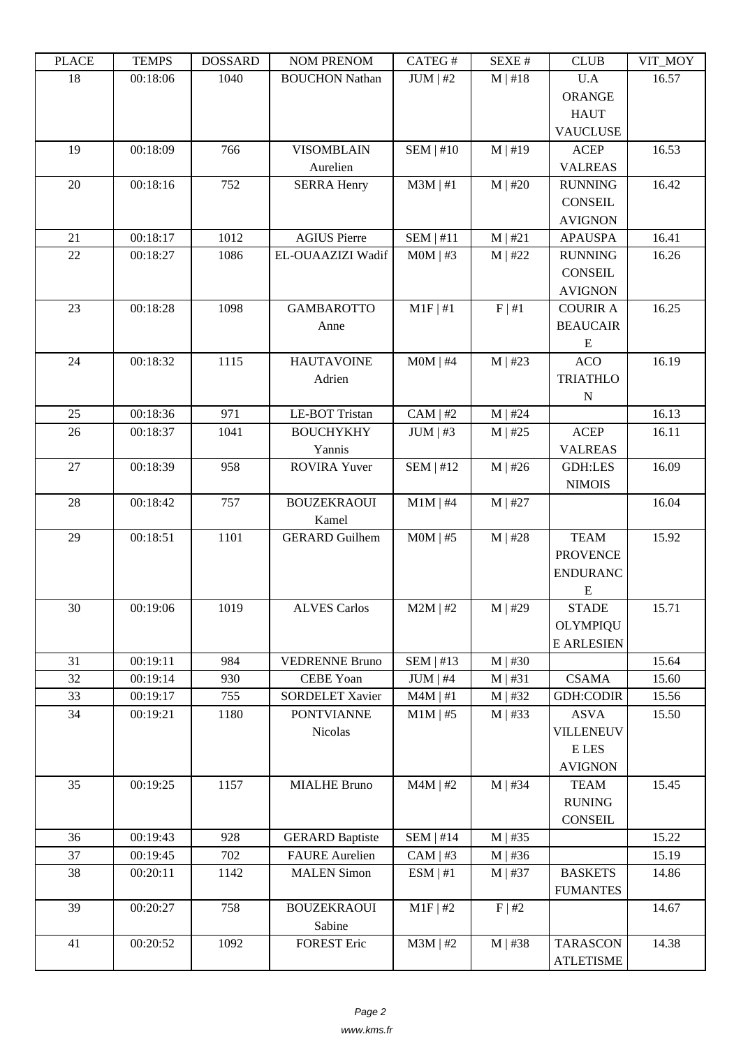| 18<br>00:18:06<br>1040<br>$JUM$   #2<br>$M$   #18<br>U.A<br>16.57<br><b>BOUCHON Nathan</b><br><b>ORANGE</b><br><b>HAUT</b><br><b>VAUCLUSE</b><br>19<br>SEM   #10<br><b>ACEP</b><br>16.53<br>00:18:09<br>766<br><b>VISOMBLAIN</b><br>$M \mid #19$<br>Aurelien<br><b>VALREAS</b><br>20<br>$M3M$   #1<br>16.42<br>00:18:16<br>752<br><b>SERRA Henry</b><br>$M$   #20<br><b>RUNNING</b><br><b>CONSEIL</b><br><b>AVIGNON</b><br>21<br>00:18:17<br>1012<br><b>AGIUS Pierre</b><br>SEM   #11<br>M   #21<br>16.41<br><b>APAUSPA</b><br>22<br>00:18:27<br>1086<br>EL-OUAAZIZI Wadif<br>$M0M$   #3<br><b>RUNNING</b><br>16.26<br>$M$   #22<br><b>CONSEIL</b><br><b>AVIGNON</b><br>23<br>1098<br><b>GAMBAROTTO</b><br>$M1F$   #1<br>F   #1<br>16.25<br>00:18:28<br><b>COURIR A</b><br><b>BEAUCAIR</b><br>Anne<br>E<br>1115<br>16.19<br>24<br>00:18:32<br><b>HAUTAVOINE</b><br>$MOM$   #4<br>$M$   #23<br><b>ACO</b><br>Adrien<br><b>TRIATHLO</b><br>${\bf N}$<br>00:18:36<br><b>LE-BOT Tristan</b><br>$CAM \mid #2$<br>16.13<br>25<br>971<br>$M$   #24<br>26<br><b>BOUCHYKHY</b><br><b>ACEP</b><br>16.11<br>00:18:37<br>1041<br>$JUM$   #3<br>$M$   #25<br>Yannis<br><b>VALREAS</b><br>27<br>00:18:39<br>958<br>SEM   #12<br>16.09<br><b>ROVIRA Yuver</b><br>$M$   #26<br><b>GDH:LES</b><br><b>NIMOIS</b><br>28<br>00:18:42<br>757<br><b>BOUZEKRAOUI</b><br>$M1M$   #4<br>$M$   #27<br>16.04<br>Kamel<br>00:18:51<br>1101<br><b>GERARD</b> Guilhem<br>$MOM$   #5<br><b>TEAM</b><br>15.92<br>29<br>$M$   #28<br><b>PROVENCE</b><br><b>ENDURANC</b> |
|----------------------------------------------------------------------------------------------------------------------------------------------------------------------------------------------------------------------------------------------------------------------------------------------------------------------------------------------------------------------------------------------------------------------------------------------------------------------------------------------------------------------------------------------------------------------------------------------------------------------------------------------------------------------------------------------------------------------------------------------------------------------------------------------------------------------------------------------------------------------------------------------------------------------------------------------------------------------------------------------------------------------------------------------------------------------------------------------------------------------------------------------------------------------------------------------------------------------------------------------------------------------------------------------------------------------------------------------------------------------------------------------------------------------------------------------------------------------------------------------------------------------------------------|
|                                                                                                                                                                                                                                                                                                                                                                                                                                                                                                                                                                                                                                                                                                                                                                                                                                                                                                                                                                                                                                                                                                                                                                                                                                                                                                                                                                                                                                                                                                                                        |
|                                                                                                                                                                                                                                                                                                                                                                                                                                                                                                                                                                                                                                                                                                                                                                                                                                                                                                                                                                                                                                                                                                                                                                                                                                                                                                                                                                                                                                                                                                                                        |
|                                                                                                                                                                                                                                                                                                                                                                                                                                                                                                                                                                                                                                                                                                                                                                                                                                                                                                                                                                                                                                                                                                                                                                                                                                                                                                                                                                                                                                                                                                                                        |
|                                                                                                                                                                                                                                                                                                                                                                                                                                                                                                                                                                                                                                                                                                                                                                                                                                                                                                                                                                                                                                                                                                                                                                                                                                                                                                                                                                                                                                                                                                                                        |
|                                                                                                                                                                                                                                                                                                                                                                                                                                                                                                                                                                                                                                                                                                                                                                                                                                                                                                                                                                                                                                                                                                                                                                                                                                                                                                                                                                                                                                                                                                                                        |
|                                                                                                                                                                                                                                                                                                                                                                                                                                                                                                                                                                                                                                                                                                                                                                                                                                                                                                                                                                                                                                                                                                                                                                                                                                                                                                                                                                                                                                                                                                                                        |
|                                                                                                                                                                                                                                                                                                                                                                                                                                                                                                                                                                                                                                                                                                                                                                                                                                                                                                                                                                                                                                                                                                                                                                                                                                                                                                                                                                                                                                                                                                                                        |
|                                                                                                                                                                                                                                                                                                                                                                                                                                                                                                                                                                                                                                                                                                                                                                                                                                                                                                                                                                                                                                                                                                                                                                                                                                                                                                                                                                                                                                                                                                                                        |
|                                                                                                                                                                                                                                                                                                                                                                                                                                                                                                                                                                                                                                                                                                                                                                                                                                                                                                                                                                                                                                                                                                                                                                                                                                                                                                                                                                                                                                                                                                                                        |
|                                                                                                                                                                                                                                                                                                                                                                                                                                                                                                                                                                                                                                                                                                                                                                                                                                                                                                                                                                                                                                                                                                                                                                                                                                                                                                                                                                                                                                                                                                                                        |
|                                                                                                                                                                                                                                                                                                                                                                                                                                                                                                                                                                                                                                                                                                                                                                                                                                                                                                                                                                                                                                                                                                                                                                                                                                                                                                                                                                                                                                                                                                                                        |
|                                                                                                                                                                                                                                                                                                                                                                                                                                                                                                                                                                                                                                                                                                                                                                                                                                                                                                                                                                                                                                                                                                                                                                                                                                                                                                                                                                                                                                                                                                                                        |
|                                                                                                                                                                                                                                                                                                                                                                                                                                                                                                                                                                                                                                                                                                                                                                                                                                                                                                                                                                                                                                                                                                                                                                                                                                                                                                                                                                                                                                                                                                                                        |
|                                                                                                                                                                                                                                                                                                                                                                                                                                                                                                                                                                                                                                                                                                                                                                                                                                                                                                                                                                                                                                                                                                                                                                                                                                                                                                                                                                                                                                                                                                                                        |
|                                                                                                                                                                                                                                                                                                                                                                                                                                                                                                                                                                                                                                                                                                                                                                                                                                                                                                                                                                                                                                                                                                                                                                                                                                                                                                                                                                                                                                                                                                                                        |
|                                                                                                                                                                                                                                                                                                                                                                                                                                                                                                                                                                                                                                                                                                                                                                                                                                                                                                                                                                                                                                                                                                                                                                                                                                                                                                                                                                                                                                                                                                                                        |
|                                                                                                                                                                                                                                                                                                                                                                                                                                                                                                                                                                                                                                                                                                                                                                                                                                                                                                                                                                                                                                                                                                                                                                                                                                                                                                                                                                                                                                                                                                                                        |
|                                                                                                                                                                                                                                                                                                                                                                                                                                                                                                                                                                                                                                                                                                                                                                                                                                                                                                                                                                                                                                                                                                                                                                                                                                                                                                                                                                                                                                                                                                                                        |
|                                                                                                                                                                                                                                                                                                                                                                                                                                                                                                                                                                                                                                                                                                                                                                                                                                                                                                                                                                                                                                                                                                                                                                                                                                                                                                                                                                                                                                                                                                                                        |
|                                                                                                                                                                                                                                                                                                                                                                                                                                                                                                                                                                                                                                                                                                                                                                                                                                                                                                                                                                                                                                                                                                                                                                                                                                                                                                                                                                                                                                                                                                                                        |
|                                                                                                                                                                                                                                                                                                                                                                                                                                                                                                                                                                                                                                                                                                                                                                                                                                                                                                                                                                                                                                                                                                                                                                                                                                                                                                                                                                                                                                                                                                                                        |
|                                                                                                                                                                                                                                                                                                                                                                                                                                                                                                                                                                                                                                                                                                                                                                                                                                                                                                                                                                                                                                                                                                                                                                                                                                                                                                                                                                                                                                                                                                                                        |
|                                                                                                                                                                                                                                                                                                                                                                                                                                                                                                                                                                                                                                                                                                                                                                                                                                                                                                                                                                                                                                                                                                                                                                                                                                                                                                                                                                                                                                                                                                                                        |
|                                                                                                                                                                                                                                                                                                                                                                                                                                                                                                                                                                                                                                                                                                                                                                                                                                                                                                                                                                                                                                                                                                                                                                                                                                                                                                                                                                                                                                                                                                                                        |
|                                                                                                                                                                                                                                                                                                                                                                                                                                                                                                                                                                                                                                                                                                                                                                                                                                                                                                                                                                                                                                                                                                                                                                                                                                                                                                                                                                                                                                                                                                                                        |
|                                                                                                                                                                                                                                                                                                                                                                                                                                                                                                                                                                                                                                                                                                                                                                                                                                                                                                                                                                                                                                                                                                                                                                                                                                                                                                                                                                                                                                                                                                                                        |
|                                                                                                                                                                                                                                                                                                                                                                                                                                                                                                                                                                                                                                                                                                                                                                                                                                                                                                                                                                                                                                                                                                                                                                                                                                                                                                                                                                                                                                                                                                                                        |
|                                                                                                                                                                                                                                                                                                                                                                                                                                                                                                                                                                                                                                                                                                                                                                                                                                                                                                                                                                                                                                                                                                                                                                                                                                                                                                                                                                                                                                                                                                                                        |
|                                                                                                                                                                                                                                                                                                                                                                                                                                                                                                                                                                                                                                                                                                                                                                                                                                                                                                                                                                                                                                                                                                                                                                                                                                                                                                                                                                                                                                                                                                                                        |
| E                                                                                                                                                                                                                                                                                                                                                                                                                                                                                                                                                                                                                                                                                                                                                                                                                                                                                                                                                                                                                                                                                                                                                                                                                                                                                                                                                                                                                                                                                                                                      |
| 15.71<br>30<br>00:19:06<br>1019<br><b>ALVES Carlos</b><br>$M2M$   #2<br>$M$   #29<br><b>STADE</b>                                                                                                                                                                                                                                                                                                                                                                                                                                                                                                                                                                                                                                                                                                                                                                                                                                                                                                                                                                                                                                                                                                                                                                                                                                                                                                                                                                                                                                      |
| <b>OLYMPIQU</b>                                                                                                                                                                                                                                                                                                                                                                                                                                                                                                                                                                                                                                                                                                                                                                                                                                                                                                                                                                                                                                                                                                                                                                                                                                                                                                                                                                                                                                                                                                                        |
| E ARLESIEN                                                                                                                                                                                                                                                                                                                                                                                                                                                                                                                                                                                                                                                                                                                                                                                                                                                                                                                                                                                                                                                                                                                                                                                                                                                                                                                                                                                                                                                                                                                             |
| 00:19:11<br>SEM   #13<br>$M$   #30<br>984<br><b>VEDRENNE Bruno</b><br>15.64<br>31                                                                                                                                                                                                                                                                                                                                                                                                                                                                                                                                                                                                                                                                                                                                                                                                                                                                                                                                                                                                                                                                                                                                                                                                                                                                                                                                                                                                                                                      |
| 32<br>00:19:14<br><b>CEBE Yoan</b><br>$JUM$   #4<br><b>CSAMA</b><br>15.60<br>930<br>M   #31                                                                                                                                                                                                                                                                                                                                                                                                                                                                                                                                                                                                                                                                                                                                                                                                                                                                                                                                                                                                                                                                                                                                                                                                                                                                                                                                                                                                                                            |
| 33<br><b>GDH:CODIR</b><br>15.56<br>00:19:17<br>755<br><b>SORDELET Xavier</b><br>$M4M$   #1<br>$M$   #32                                                                                                                                                                                                                                                                                                                                                                                                                                                                                                                                                                                                                                                                                                                                                                                                                                                                                                                                                                                                                                                                                                                                                                                                                                                                                                                                                                                                                                |
| 34<br>1180<br>$M1M$   #5<br>15.50<br>00:19:21<br><b>PONTVIANNE</b><br>$M$   #33<br><b>ASVA</b>                                                                                                                                                                                                                                                                                                                                                                                                                                                                                                                                                                                                                                                                                                                                                                                                                                                                                                                                                                                                                                                                                                                                                                                                                                                                                                                                                                                                                                         |
| Nicolas<br><b>VILLENEUV</b>                                                                                                                                                                                                                                                                                                                                                                                                                                                                                                                                                                                                                                                                                                                                                                                                                                                                                                                                                                                                                                                                                                                                                                                                                                                                                                                                                                                                                                                                                                            |
| E LES                                                                                                                                                                                                                                                                                                                                                                                                                                                                                                                                                                                                                                                                                                                                                                                                                                                                                                                                                                                                                                                                                                                                                                                                                                                                                                                                                                                                                                                                                                                                  |
| <b>AVIGNON</b>                                                                                                                                                                                                                                                                                                                                                                                                                                                                                                                                                                                                                                                                                                                                                                                                                                                                                                                                                                                                                                                                                                                                                                                                                                                                                                                                                                                                                                                                                                                         |
| 35<br>1157<br><b>MIALHE Bruno</b><br>$M4M$   #2<br>15.45<br>00:19:25<br>$M$   #34<br><b>TEAM</b>                                                                                                                                                                                                                                                                                                                                                                                                                                                                                                                                                                                                                                                                                                                                                                                                                                                                                                                                                                                                                                                                                                                                                                                                                                                                                                                                                                                                                                       |
| <b>RUNING</b>                                                                                                                                                                                                                                                                                                                                                                                                                                                                                                                                                                                                                                                                                                                                                                                                                                                                                                                                                                                                                                                                                                                                                                                                                                                                                                                                                                                                                                                                                                                          |
| <b>CONSEIL</b>                                                                                                                                                                                                                                                                                                                                                                                                                                                                                                                                                                                                                                                                                                                                                                                                                                                                                                                                                                                                                                                                                                                                                                                                                                                                                                                                                                                                                                                                                                                         |
| 15.22<br>00:19:43<br>928<br>SEM   #14<br>36<br><b>GERARD Baptiste</b><br>$M$   #35                                                                                                                                                                                                                                                                                                                                                                                                                                                                                                                                                                                                                                                                                                                                                                                                                                                                                                                                                                                                                                                                                                                                                                                                                                                                                                                                                                                                                                                     |
| <b>FAURE</b> Aurelien<br>$CAM \mid #3$<br>37<br>00:19:45<br>702<br>15.19<br>$M \mid #36$                                                                                                                                                                                                                                                                                                                                                                                                                                                                                                                                                                                                                                                                                                                                                                                                                                                                                                                                                                                                                                                                                                                                                                                                                                                                                                                                                                                                                                               |
| 38<br>1142<br><b>MALEN Simon</b><br>ESM   #1<br>00:20:11<br>$M$   #37<br><b>BASKETS</b><br>14.86                                                                                                                                                                                                                                                                                                                                                                                                                                                                                                                                                                                                                                                                                                                                                                                                                                                                                                                                                                                                                                                                                                                                                                                                                                                                                                                                                                                                                                       |
| <b>FUMANTES</b>                                                                                                                                                                                                                                                                                                                                                                                                                                                                                                                                                                                                                                                                                                                                                                                                                                                                                                                                                                                                                                                                                                                                                                                                                                                                                                                                                                                                                                                                                                                        |
| 39<br>$M1F$ #2<br>F   #2<br>00:20:27<br>758<br><b>BOUZEKRAOUI</b><br>14.67                                                                                                                                                                                                                                                                                                                                                                                                                                                                                                                                                                                                                                                                                                                                                                                                                                                                                                                                                                                                                                                                                                                                                                                                                                                                                                                                                                                                                                                             |
| Sabine                                                                                                                                                                                                                                                                                                                                                                                                                                                                                                                                                                                                                                                                                                                                                                                                                                                                                                                                                                                                                                                                                                                                                                                                                                                                                                                                                                                                                                                                                                                                 |
| 1092<br><b>FOREST Eric</b><br>$M3M$   #2<br>00:20:52<br>$M$   #38<br><b>TARASCON</b><br>14.38<br>41                                                                                                                                                                                                                                                                                                                                                                                                                                                                                                                                                                                                                                                                                                                                                                                                                                                                                                                                                                                                                                                                                                                                                                                                                                                                                                                                                                                                                                    |
| <b>ATLETISME</b>                                                                                                                                                                                                                                                                                                                                                                                                                                                                                                                                                                                                                                                                                                                                                                                                                                                                                                                                                                                                                                                                                                                                                                                                                                                                                                                                                                                                                                                                                                                       |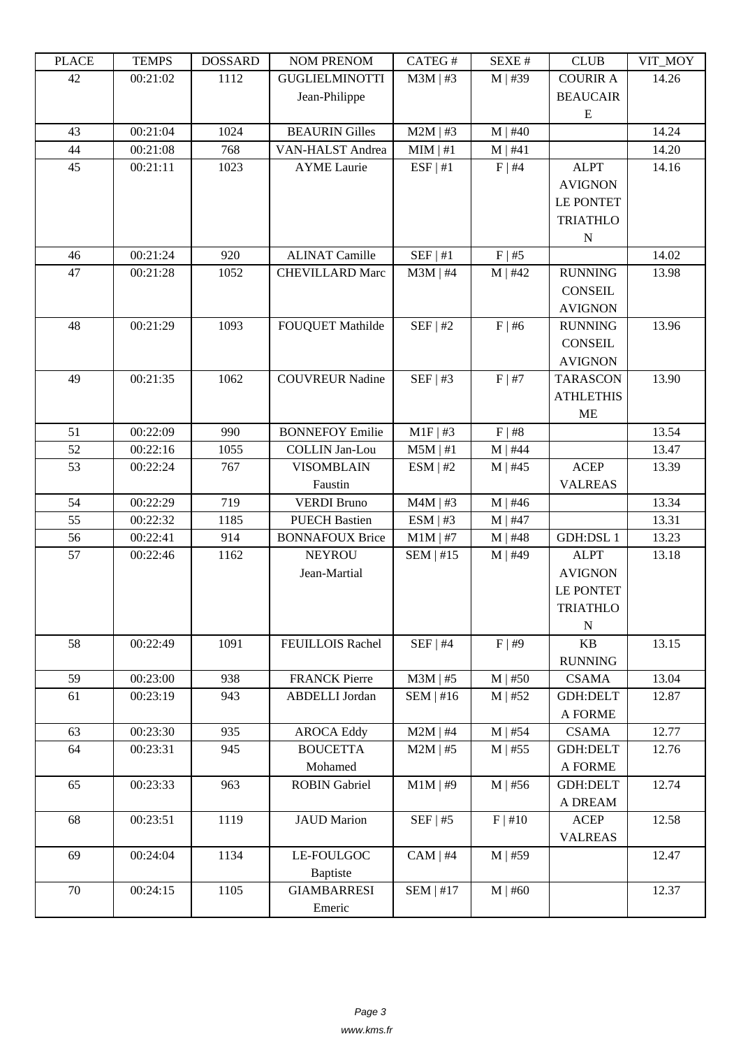| LLAUL | L LIVIII IJ | <b>UUUUUUU</b> | <b>INUINT I INEINUINI</b> | CATLO T       | DL/AL π      | CLUD             | VII_MUI |
|-------|-------------|----------------|---------------------------|---------------|--------------|------------------|---------|
| 42    | 00:21:02    | 1112           | <b>GUGLIELMINOTTI</b>     | $M3M$   #3    | $M$   #39    | <b>COURIR A</b>  | 14.26   |
|       |             |                | Jean-Philippe             |               |              | <b>BEAUCAIR</b>  |         |
|       |             |                |                           |               |              | E                |         |
| 43    | 00:21:04    | 1024           | <b>BEAURIN Gilles</b>     | $M2M$   #3    | $M$   #40    |                  | 14.24   |
| 44    | 00:21:08    | 768            | VAN-HALST Andrea          | MIM   #1      | M   #41      |                  | 14.20   |
| 45    | 00:21:11    | 1023           | <b>AYME</b> Laurie        | ESF   #1      | $F \mid #4$  | <b>ALPT</b>      | 14.16   |
|       |             |                |                           |               |              | <b>AVIGNON</b>   |         |
|       |             |                |                           |               |              | <b>LE PONTET</b> |         |
|       |             |                |                           |               |              | <b>TRIATHLO</b>  |         |
|       |             |                |                           |               |              | N                |         |
| 46    | 00:21:24    | 920            | <b>ALINAT Camille</b>     | $SEF$   #1    | F   #5       |                  | 14.02   |
| 47    | 00:21:28    | 1052           | <b>CHEVILLARD Marc</b>    | $M3M$   #4    | $M$   #42    | <b>RUNNING</b>   | 13.98   |
|       |             |                |                           |               |              | <b>CONSEIL</b>   |         |
|       |             |                |                           |               |              | <b>AVIGNON</b>   |         |
| 48    | 00:21:29    | 1093           | <b>FOUQUET Mathilde</b>   | SEF   #2      | $F$   #6     | <b>RUNNING</b>   | 13.96   |
|       |             |                |                           |               |              | <b>CONSEIL</b>   |         |
|       |             |                |                           |               |              | <b>AVIGNON</b>   |         |
| 49    | 00:21:35    | 1062           | <b>COUVREUR Nadine</b>    | $SEF$   #3    | F   #7       | <b>TARASCON</b>  | 13.90   |
|       |             |                |                           |               |              | <b>ATHLETHIS</b> |         |
|       |             |                |                           |               |              | <b>ME</b>        |         |
| 51    | 00:22:09    | 990            | <b>BONNEFOY Emilie</b>    | $M1F$   #3    | F   #8       |                  | 13.54   |
| 52    | 00:22:16    | 1055           | <b>COLLIN Jan-Lou</b>     | $M5M$   #1    | $M$   #44    |                  | 13.47   |
| 53    | 00:22:24    | 767            | <b>VISOMBLAIN</b>         | ESM   #2      | $M$   #45    | <b>ACEP</b>      | 13.39   |
|       |             |                | Faustin                   |               |              | <b>VALREAS</b>   |         |
| 54    | 00:22:29    | 719            | <b>VERDI Bruno</b>        | $M4M$   #3    | $M$   #46    |                  | 13.34   |
| 55    | 00:22:32    | 1185           | <b>PUECH Bastien</b>      | ESM   #3      | $M$   #47    |                  | 13.31   |
| 56    | 00:22:41    | 914            | <b>BONNAFOUX Brice</b>    | $M1M$   #7    | $M$   #48    | <b>GDH:DSL1</b>  | 13.23   |
| 57    | 00:22:46    | 1162           | <b>NEYROU</b>             | $SEM$   #15   | $M$   #49    | <b>ALPT</b>      | 13.18   |
|       |             |                | Jean-Martial              |               |              | <b>AVIGNON</b>   |         |
|       |             |                |                           |               |              | <b>LE PONTET</b> |         |
|       |             |                |                           |               |              | <b>TRIATHLO</b>  |         |
|       |             |                |                           |               |              | $\mathbf N$      |         |
| 58    | 00:22:49    | 1091           | FEUILLOIS Rachel          | $SEF$   #4    | F   #9       | KB               | 13.15   |
|       |             |                |                           |               |              | <b>RUNNING</b>   |         |
| 59    | 00:23:00    | 938            | <b>FRANCK Pierre</b>      | $M3M$   #5    | $M$   #50    | <b>CSAMA</b>     | 13.04   |
| 61    | 00:23:19    | 943            | <b>ABDELLI</b> Jordan     | SEM   #16     | $M$   #52    | <b>GDH:DELT</b>  | 12.87   |
|       |             |                |                           |               |              | A FORME          |         |
| 63    | 00:23:30    | 935            | <b>AROCA Eddy</b>         | $M2M$   #4    | $M$   #54    | <b>CSAMA</b>     | 12.77   |
| 64    | 00:23:31    | 945            | <b>BOUCETTA</b>           | $M2M$   #5    | $M$   #55    | GDH:DELT         | 12.76   |
|       |             |                | Mohamed                   |               |              | A FORME          |         |
| 65    | 00:23:33    | 963            | <b>ROBIN Gabriel</b>      | $M1M$   #9    | $M \mid #56$ | GDH:DELT         | 12.74   |
|       |             |                |                           |               |              | A DREAM          |         |
| 68    | 00:23:51    | 1119           | <b>JAUD</b> Marion        | SEF   #5      | F   #10      | <b>ACEP</b>      | 12.58   |
|       |             |                |                           |               |              | <b>VALREAS</b>   |         |
| 69    | 00:24:04    | 1134           | LE-FOULGOC                | $CAM \mid #4$ | $M$   #59    |                  | 12.47   |
|       |             |                | <b>Baptiste</b>           |               |              |                  |         |
| 70    | 00:24:15    | 1105           | <b>GIAMBARRESI</b>        | $SEM$   #17   | $M$   #60    |                  | 12.37   |
|       |             |                | Emeric                    |               |              |                  |         |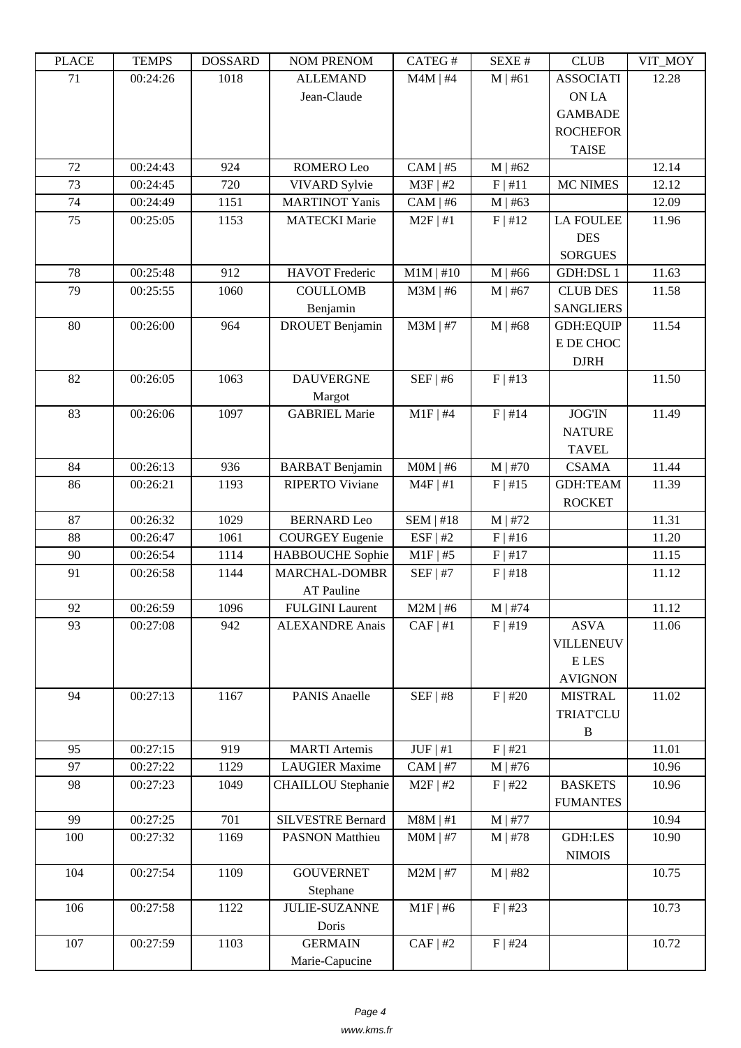| LLAUL | <u>ר דוגרדו</u> | <u> עוזרומטרע</u> | NUM TNENUM                | CATLO T       | DIEZA E II | CLUD             | YII_MUI |
|-------|-----------------|-------------------|---------------------------|---------------|------------|------------------|---------|
| 71    | 00:24:26        | 1018              | <b>ALLEMAND</b>           | $M4M$   #4    | M   #61    | <b>ASSOCIATI</b> | 12.28   |
|       |                 |                   | Jean-Claude               |               |            | ON LA            |         |
|       |                 |                   |                           |               |            | <b>GAMBADE</b>   |         |
|       |                 |                   |                           |               |            | <b>ROCHEFOR</b>  |         |
|       |                 |                   |                           |               |            | <b>TAISE</b>     |         |
| 72    | 00:24:43        | 924               | ROMERO Leo                | $CAM \mid #5$ | $M$   #62  |                  | 12.14   |
| 73    | 00:24:45        | 720               | <b>VIVARD Sylvie</b>      | $M3F$   #2    | F   #11    | <b>MC NIMES</b>  | 12.12   |
| 74    | 00:24:49        | 1151              | <b>MARTINOT Yanis</b>     | $CAM \mid #6$ | $M$   #63  |                  | 12.09   |
| 75    | 00:25:05        | 1153              | <b>MATECKI</b> Marie      | $M2F$   #1    | F   #12    | <b>LA FOULEE</b> | 11.96   |
|       |                 |                   |                           |               |            | <b>DES</b>       |         |
|       |                 |                   |                           |               |            | <b>SORGUES</b>   |         |
| 78    | 00:25:48        | 912               | <b>HAVOT</b> Frederic     | $M1M$   #10   | $M$   #66  | <b>GDH:DSL1</b>  | 11.63   |
| 79    | 00:25:55        | 1060              | <b>COULLOMB</b>           | $M3M$   #6    | $M$   #67  | <b>CLUB DES</b>  | 11.58   |
|       |                 |                   | Benjamin                  |               |            | <b>SANGLIERS</b> |         |
| 80    | 00:26:00        | 964               | <b>DROUET</b> Benjamin    | $M3M$   #7    | $M$   #68  | <b>GDH:EQUIP</b> | 11.54   |
|       |                 |                   |                           |               |            | E DE CHOC        |         |
|       |                 |                   |                           |               |            | <b>DJRH</b>      |         |
| 82    | 00:26:05        | 1063              | <b>DAUVERGNE</b>          | $SEF$   #6    | F   #13    |                  | 11.50   |
|       |                 |                   | Margot                    |               |            |                  |         |
| 83    | 00:26:06        | 1097              | <b>GABRIEL Marie</b>      | $M1F$ #4      | F   #14    | <b>JOG'IN</b>    | 11.49   |
|       |                 |                   |                           |               |            | <b>NATURE</b>    |         |
|       |                 |                   |                           |               |            | <b>TAVEL</b>     |         |
| 84    | 00:26:13        | 936               | <b>BARBAT</b> Benjamin    | $MOM$   #6    | $M$   #70  | <b>CSAMA</b>     | 11.44   |
| 86    | 00:26:21        | 1193              | <b>RIPERTO Viviane</b>    | $M4F$   #1    | F   #15    | <b>GDH:TEAM</b>  | 11.39   |
|       |                 |                   |                           |               |            | <b>ROCKET</b>    |         |
| 87    | 00:26:32        | 1029              | <b>BERNARD</b> Leo        | $SEM$   #18   | $M$   #72  |                  | 11.31   |
| 88    | 00:26:47        | 1061              | <b>COURGEY Eugenie</b>    | ESF   #2      | $F$   #16  |                  | 11.20   |
| 90    | 00:26:54        | 1114              | HABBOUCHE Sophie          | $M1F$ #5      | F   #17    |                  | 11.15   |
| 91    | 00:26:58        | 1144              | MARCHAL-DOMBR             | $SEF$   #7    | F   #18    |                  | 11.12   |
|       |                 |                   | <b>AT Pauline</b>         |               |            |                  |         |
| 92    | 00:26:59        | 1096              | <b>FULGINI</b> Laurent    | $M2M$   #6    | $M$   #74  |                  | 11.12   |
| 93    | 00:27:08        | 942               | <b>ALEXANDRE Anais</b>    | CAF   #1      | F   #19    | <b>ASVA</b>      | 11.06   |
|       |                 |                   |                           |               |            | VILLENEUV        |         |
|       |                 |                   |                           |               |            | E LES            |         |
|       |                 |                   |                           |               |            | <b>AVIGNON</b>   |         |
| 94    | 00:27:13        | 1167              | <b>PANIS Anaelle</b>      | SEF   #8      | $F$   #20  | <b>MISTRAL</b>   | 11.02   |
|       |                 |                   |                           |               |            | <b>TRIAT'CLU</b> |         |
|       |                 |                   |                           |               |            | $\, {\bf B}$     |         |
| 95    | 00:27:15        | 919               | <b>MARTI</b> Artemis      | $JUF \mid #1$ | F   #21    |                  | 11.01   |
| 97    | 00:27:22        | 1129              | <b>LAUGIER Maxime</b>     | $CAM \mid #7$ | $M$   #76  |                  | 10.96   |
| 98    | 00:27:23        | 1049              | <b>CHAILLOU</b> Stephanie | $M2F$   #2    | F   #22    | <b>BASKETS</b>   | 10.96   |
|       |                 |                   |                           |               |            | <b>FUMANTES</b>  |         |
| 99    | 00:27:25        | 701               | <b>SILVESTRE Bernard</b>  | $M8M$   #1    | M   #77    |                  | 10.94   |
| 100   | 00:27:32        | 1169              | <b>PASNON Matthieu</b>    | $MOM$   #7    | $M$   #78  | <b>GDH:LES</b>   | 10.90   |
|       |                 |                   |                           |               |            | <b>NIMOIS</b>    |         |
| 104   | 00:27:54        | 1109              | <b>GOUVERNET</b>          | $M2M$   #7    | $M$   #82  |                  | 10.75   |
|       |                 |                   | Stephane                  |               |            |                  |         |
| 106   | 00:27:58        | 1122              | <b>JULIE-SUZANNE</b>      | $M1F$ #6      | F   #23    |                  | 10.73   |
|       |                 |                   | Doris                     |               |            |                  |         |
| 107   | 00:27:59        | 1103              | <b>GERMAIN</b>            | $CAF$   #2    | $F$   #24  |                  | 10.72   |
|       |                 |                   | Marie-Capucine            |               |            |                  |         |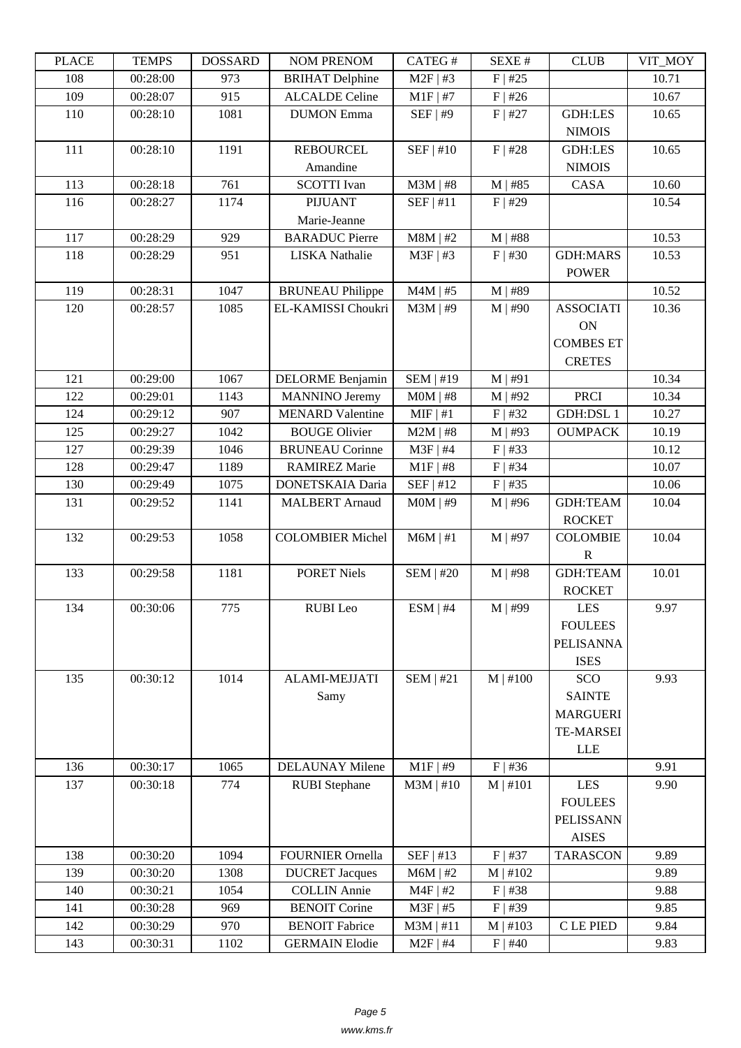| LLAUD | L LIVIII IJ | <b>UUUUUUU</b> | <b>INUMER NETVUM</b>    | CATLO T          | υL/ΛL π       | CLUD             | <del>ו∪וע</del> _ווי |
|-------|-------------|----------------|-------------------------|------------------|---------------|------------------|----------------------|
| 108   | 00:28:00    | 973            | <b>BRIHAT</b> Delphine  | $M2F$   #3       | $F$   #25     |                  | 10.71                |
| 109   | 00:28:07    | 915            | <b>ALCALDE</b> Celine   | $M1F$ #7         | $F$   #26     |                  | 10.67                |
| 110   | 00:28:10    | 1081           | <b>DUMON</b> Emma       | SEF   #9         | $F$   #27     | <b>GDH:LES</b>   | 10.65                |
|       |             |                |                         |                  |               | <b>NIMOIS</b>    |                      |
| 111   | 00:28:10    | 1191           | <b>REBOURCEL</b>        | SEF   #10        | F   #28       | <b>GDH:LES</b>   | 10.65                |
|       |             |                | Amandine                |                  |               | <b>NIMOIS</b>    |                      |
| 113   | 00:28:18    | 761            | <b>SCOTTI</b> Ivan      | $M3M$   #8       | $M$   #85     | CASA             | 10.60                |
| 116   | 00:28:27    | 1174           | <b>PIJUANT</b>          | SEF   #11        | $F$   #29     |                  | 10.54                |
|       |             |                | Marie-Jeanne            |                  |               |                  |                      |
| 117   | 00:28:29    | 929            | <b>BARADUC</b> Pierre   | $M8M$   #2       | $M$   #88     |                  | 10.53                |
| 118   | 00:28:29    | 951            | <b>LISKA</b> Nathalie   | $M3F$ #3         | $F$   #30     | <b>GDH:MARS</b>  | 10.53                |
|       |             |                |                         |                  |               | <b>POWER</b>     |                      |
| 119   | 00:28:31    | 1047           | <b>BRUNEAU Philippe</b> | $M4M$   #5       | M   #89       |                  | 10.52                |
| 120   | 00:28:57    | 1085           | EL-KAMISSI Choukri      | $M3M$   #9       | $M$   #90     | <b>ASSOCIATI</b> | 10.36                |
|       |             |                |                         |                  |               | ON               |                      |
|       |             |                |                         |                  |               | <b>COMBES ET</b> |                      |
|       |             |                |                         |                  |               | <b>CRETES</b>    |                      |
| 121   | 00:29:00    | 1067           | <b>DELORME</b> Benjamin | <b>SEM   #19</b> | M   #91       |                  | 10.34                |
| 122   | 00:29:01    | 1143           | <b>MANNINO</b> Jeremy   | $MOM$   #8       | $M$   #92     | <b>PRCI</b>      | 10.34                |
| 124   | 00:29:12    | 907            | <b>MENARD Valentine</b> | $MIF$ #1         | $F$   #32     | <b>GDH:DSL1</b>  | 10.27                |
| 125   | 00:29:27    | 1042           | <b>BOUGE Olivier</b>    | $M2M$   #8       | $M$   #93     | <b>OUMPACK</b>   | 10.19                |
| 127   | 00:29:39    | 1046           | <b>BRUNEAU Corinne</b>  | $M3F$   #4       | F   #33       |                  | 10.12                |
| 128   | 00:29:47    | 1189           | <b>RAMIREZ Marie</b>    | $M1F$   #8       | $F$   #34     |                  | 10.07                |
| 130   | 00:29:49    | 1075           | DONETSKAIA Daria        | SEF   #12        | $F$   #35     |                  | 10.06                |
| 131   | 00:29:52    | 1141           | <b>MALBERT</b> Arnaud   | $MOM$   #9       | $M$   #96     | <b>GDH:TEAM</b>  | 10.04                |
|       |             |                |                         |                  |               | <b>ROCKET</b>    |                      |
| 132   | 00:29:53    | 1058           | <b>COLOMBIER Michel</b> | $M6M$   #1       | $M$   #97     | <b>COLOMBIE</b>  | 10.04                |
|       |             |                |                         |                  |               | $\mathbb{R}$     |                      |
| 133   | 00:29:58    | 1181           | <b>PORET Niels</b>      | <b>SEM   #20</b> | $M$   #98     | <b>GDH:TEAM</b>  | 10.01                |
|       |             |                |                         |                  |               | <b>ROCKET</b>    |                      |
| 134   | 00:30:06    | 775            | <b>RUBI</b> Leo         | ESM   #4         | M   #99       | <b>LES</b>       | 9.97                 |
|       |             |                |                         |                  |               | <b>FOULEES</b>   |                      |
|       |             |                |                         |                  |               | <b>PELISANNA</b> |                      |
|       |             |                |                         |                  |               | <b>ISES</b>      |                      |
| 135   | 00:30:12    | 1014           | ALAMI-MEJJATI           | $SEM$   #21      | $M \mid #100$ | SCO              | 9.93                 |
|       |             |                | Samy                    |                  |               | <b>SAINTE</b>    |                      |
|       |             |                |                         |                  |               | <b>MARGUERI</b>  |                      |
|       |             |                |                         |                  |               | <b>TE-MARSEI</b> |                      |
|       |             |                |                         |                  |               | LLE              |                      |
| 136   | 00:30:17    | 1065           | <b>DELAUNAY Milene</b>  | $M1F$ #9         | $F$   #36     |                  | 9.91                 |
| 137   | 00:30:18    | 774            | <b>RUBI</b> Stephane    | $M3M$   #10      | M   #101      | LES              | 9.90                 |
|       |             |                |                         |                  |               | <b>FOULEES</b>   |                      |
|       |             |                |                         |                  |               | <b>PELISSANN</b> |                      |
|       |             |                |                         |                  |               | <b>AISES</b>     |                      |
| 138   | 00:30:20    | 1094           | FOURNIER Ornella        | SEF   #13        | $F$   #37     | <b>TARASCON</b>  | 9.89                 |
| 139   | 00:30:20    | 1308           | <b>DUCRET</b> Jacques   | $M6M$   #2       | M   #102      |                  | 9.89                 |
| 140   | 00:30:21    | 1054           | <b>COLLIN Annie</b>     | $M4F$   #2       | $F$   #38     |                  | 9.88                 |
| 141   | 00:30:28    | 969            | <b>BENOIT Corine</b>    | $M3F$   #5       | $F$   #39     |                  | 9.85                 |
| 142   | 00:30:29    | 970            | <b>BENOIT Fabrice</b>   | $M3M$   #11      | $M$   #103    | C LE PIED        | 9.84                 |
| 143   | 00:30:31    | 1102           | <b>GERMAIN Elodie</b>   | $M2F$   #4       | $F$   #40     |                  | 9.83                 |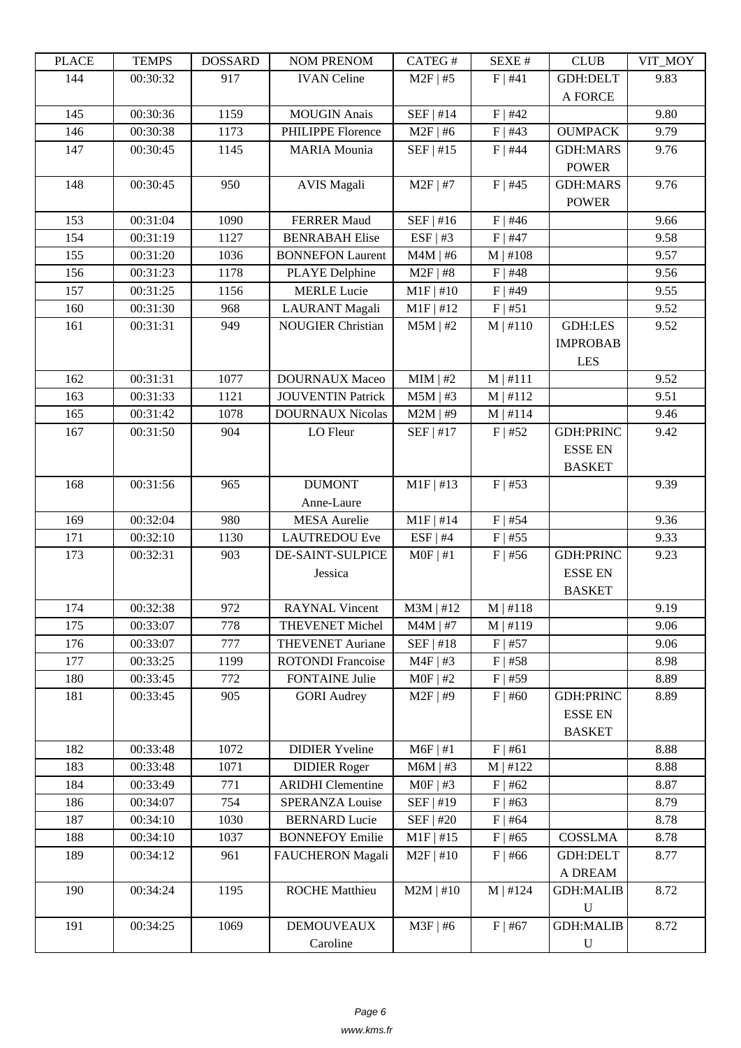| LEACE | <u>ר דוגרדו</u> | <b>UUUUUUU</b> | <b>NUMERICAN</b>         | CATLO T     | יד בב/גבוט    | CLUD             | VII_WIO I |
|-------|-----------------|----------------|--------------------------|-------------|---------------|------------------|-----------|
| 144   | 00:30:32        | 917            | <b>IVAN Celine</b>       | $M2F$   #5  | F   #41       | GDH:DELT         | 9.83      |
|       |                 |                |                          |             |               | A FORCE          |           |
| 145   | 00:30:36        | 1159           | <b>MOUGIN Anais</b>      | $SEF$   #14 | $F$   #42     |                  | 9.80      |
| 146   | 00:30:38        | 1173           | PHILIPPE Florence        | $M2F$ #6    | $F$   #43     | <b>OUMPACK</b>   | 9.79      |
| 147   | 00:30:45        | 1145           | <b>MARIA</b> Mounia      | SEF   #15   | $F$   #44     | <b>GDH:MARS</b>  | 9.76      |
|       |                 |                |                          |             |               | <b>POWER</b>     |           |
| 148   | 00:30:45        | 950            | <b>AVIS Magali</b>       | $M2F$   #7  | $F$   #45     | <b>GDH:MARS</b>  | 9.76      |
|       |                 |                |                          |             |               | <b>POWER</b>     |           |
| 153   | 00:31:04        | 1090           | <b>FERRER Maud</b>       | SEF   #16   | $F$   #46     |                  | 9.66      |
| 154   | 00:31:19        | 1127           | <b>BENRABAH Elise</b>    | ESF   #3    | $F$   #47     |                  | 9.58      |
| 155   | 00:31:20        | 1036           | <b>BONNEFON Laurent</b>  | $M4M$   #6  | M   #108      |                  | 9.57      |
| 156   | 00:31:23        | 1178           | <b>PLAYE</b> Delphine    | $M2F$   #8  | $F$   #48     |                  | 9.56      |
| 157   | 00:31:25        | 1156           | <b>MERLE Lucie</b>       | $M1F$   #10 | $F$   #49     |                  | 9.55      |
| 160   | 00:31:30        | 968            | <b>LAURANT</b> Magali    | $M1F$   #12 | F   #51       |                  | 9.52      |
| 161   | 00:31:31        | 949            | <b>NOUGIER Christian</b> | $M5M$   #2  | $M \mid #110$ | <b>GDH:LES</b>   | 9.52      |
|       |                 |                |                          |             |               | <b>IMPROBAB</b>  |           |
|       |                 |                |                          |             |               | <b>LES</b>       |           |
| 162   | 00:31:31        | 1077           | <b>DOURNAUX Maceo</b>    | $MIM$   #2  | $M$   #111    |                  | 9.52      |
| 163   | 00:31:33        | 1121           | <b>JOUVENTIN Patrick</b> | $M5M$   #3  | M   #112      |                  | 9.51      |
| 165   | 00:31:42        | 1078           | <b>DOURNAUX Nicolas</b>  | $M2M$   #9  | $M$   #114    |                  | 9.46      |
| 167   | 00:31:50        | 904            | LO Fleur                 | $SEF$   #17 | $F$   #52     | <b>GDH:PRINC</b> | 9.42      |
|       |                 |                |                          |             |               | <b>ESSE EN</b>   |           |
|       |                 |                |                          |             |               | <b>BASKET</b>    |           |
| 168   | 00:31:56        | 965            | <b>DUMONT</b>            | $M1F$   #13 | $F$   #53     |                  | 9.39      |
|       |                 |                | Anne-Laure               |             |               |                  |           |
| 169   | 00:32:04        | 980            | <b>MESA</b> Aurelie      | $M1F$   #14 | $F$   #54     |                  | 9.36      |
| 171   | 00:32:10        | 1130           | <b>LAUTREDOU Eve</b>     | $ESF$   #4  | $F$   #55     |                  | 9.33      |
| 173   | 00:32:31        | 903            | DE-SAINT-SULPICE         | $MOF$   #1  | $F$   #56     | <b>GDH:PRINC</b> | 9.23      |
|       |                 |                | Jessica                  |             |               | <b>ESSE EN</b>   |           |
|       |                 |                |                          |             |               | <b>BASKET</b>    |           |
| 174   | 00:32:38        | 972            | <b>RAYNAL Vincent</b>    | $M3M$   #12 | M   #118      |                  | 9.19      |
| 175   | 00:33:07        | 778            | <b>THEVENET Michel</b>   | $M4M$   #7  | M   #119      |                  | 9.06      |
| 176   | 00:33:07        | 777            | <b>THEVENET Auriane</b>  | SEF   #18   | $F$   #57     |                  | 9.06      |
| 177   | 00:33:25        | 1199           | <b>ROTONDI</b> Francoise | $M4F$   #3  | $F$   #58     |                  | 8.98      |
| 180   | 00:33:45        | 772            | <b>FONTAINE Julie</b>    | $MOF$   #2  | $F$   #59     |                  | 8.89      |
| 181   | 00:33:45        | 905            | <b>GORI</b> Audrey       | $M2F$   #9  | $F$   #60     | <b>GDH:PRINC</b> | 8.89      |
|       |                 |                |                          |             |               | <b>ESSE EN</b>   |           |
|       |                 |                |                          |             |               | <b>BASKET</b>    |           |
| 182   | 00:33:48        | 1072           | <b>DIDIER Yveline</b>    | $M6F$   #1  | F   #61       |                  | 8.88      |
| 183   | 00:33:48        | 1071           | <b>DIDIER Roger</b>      | $M6M$   #3  | M   #122      |                  | 8.88      |
| 184   | 00:33:49        | 771            | <b>ARIDHI</b> Clementine | $MOF$ #3    | $F$   #62     |                  | 8.87      |
| 186   | 00:34:07        | 754            | SPERANZA Louise          | SEF   #19   | $F$   #63     |                  | 8.79      |
| 187   | 00:34:10        | 1030           | <b>BERNARD Lucie</b>     | SEF   #20   | $F$   #64     |                  | 8.78      |
| 188   | 00:34:10        | 1037           | <b>BONNEFOY Emilie</b>   | $M1F$   #15 | $F$   #65     | <b>COSSLMA</b>   | 8.78      |
| 189   | 00:34:12        | 961            | FAUCHERON Magali         | $M2F$   #10 | $F$   #66     | GDH:DELT         | 8.77      |
|       |                 |                |                          |             |               | A DREAM          |           |
| 190   | 00:34:24        | 1195           | <b>ROCHE Matthieu</b>    | $M2M$   #10 | $M$   #124    | <b>GDH:MALIB</b> | 8.72      |
|       |                 |                |                          |             |               | $\mathbf U$      |           |
| 191   | 00:34:25        | 1069           | <b>DEMOUVEAUX</b>        | $M3F$   #6  | $F$   #67     | <b>GDH:MALIB</b> | 8.72      |
|       |                 |                | Caroline                 |             |               | $\mathbf U$      |           |
|       |                 |                |                          |             |               |                  |           |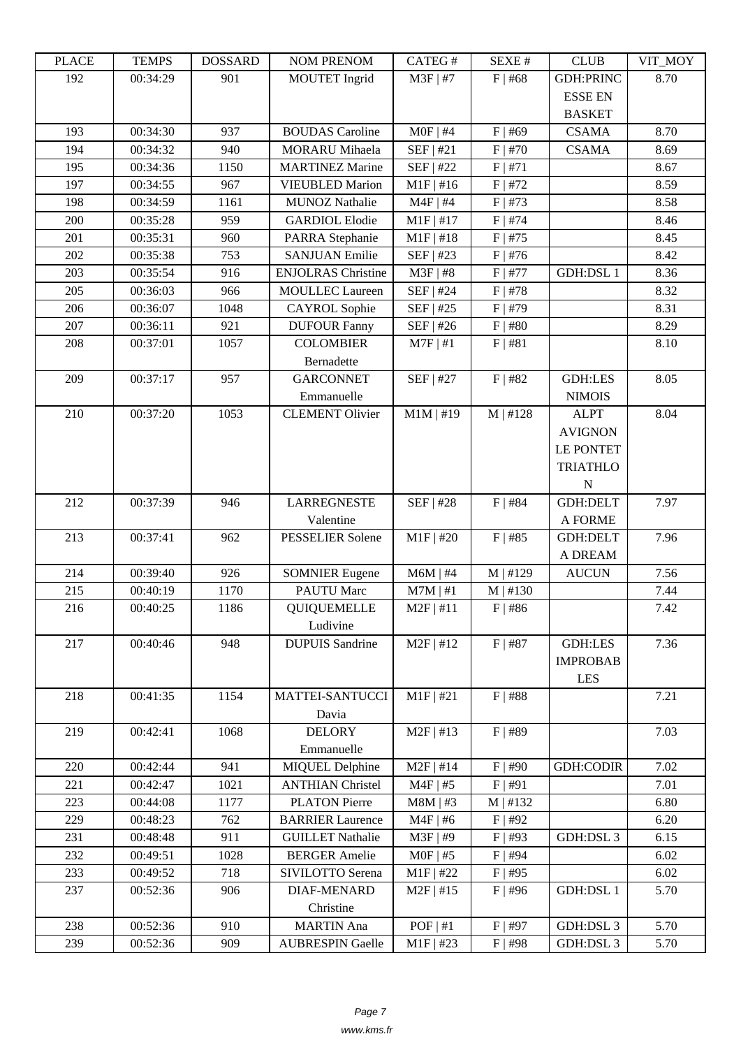| LLAUL | L LIVIII IJ | <u> טעדעמטרע</u> | <b>INUMER NETVUM</b>      | CΛ1 LU π    | DL/AL π   | CLUD             | VII_WIO I |
|-------|-------------|------------------|---------------------------|-------------|-----------|------------------|-----------|
| 192   | 00:34:29    | 901              | <b>MOUTET</b> Ingrid      | $M3F$   #7  | $F$   #68 | <b>GDH:PRINC</b> | 8.70      |
|       |             |                  |                           |             |           | <b>ESSE EN</b>   |           |
|       |             |                  |                           |             |           | <b>BASKET</b>    |           |
| 193   | 00:34:30    | 937              | <b>BOUDAS</b> Caroline    | $MOF$   #4  | $F$   #69 | <b>CSAMA</b>     | 8.70      |
| 194   | 00:34:32    | 940              | <b>MORARU</b> Mihaela     | SEF   #21   | $F$   #70 | <b>CSAMA</b>     | 8.69      |
| 195   | 00:34:36    | 1150             | <b>MARTINEZ Marine</b>    | SEF   #22   | F   #71   |                  | 8.67      |
| 197   | 00:34:55    | 967              | <b>VIEUBLED Marion</b>    | $M1F$   #16 | $F$   #72 |                  | 8.59      |
| 198   | 00:34:59    | 1161             | <b>MUNOZ Nathalie</b>     | $M4F$   #4  | $F$   #73 |                  | 8.58      |
| 200   | 00:35:28    | 959              | <b>GARDIOL Elodie</b>     | $M1F$   #17 | $F$   #74 |                  | 8.46      |
| 201   | 00:35:31    | 960              | PARRA Stephanie           | $M1F$   #18 | $F$   #75 |                  | 8.45      |
| 202   | 00:35:38    | 753              | <b>SANJUAN Emilie</b>     | SEF   #23   | $F$   #76 |                  | 8.42      |
| 203   | 00:35:54    | 916              | <b>ENJOLRAS</b> Christine | $M3F$   #8  | $F$   #77 | <b>GDH:DSL1</b>  | 8.36      |
| 205   | 00:36:03    | 966              | <b>MOULLEC</b> Laureen    | SEF   #24   | $F$   #78 |                  | 8.32      |
| 206   | 00:36:07    | 1048             | <b>CAYROL</b> Sophie      | $SEF$   #25 | $F$   #79 |                  | 8.31      |
| 207   | 00:36:11    | 921              | <b>DUFOUR Fanny</b>       | SEF   #26   | $F$   #80 |                  | 8.29      |
| 208   | 00:37:01    | 1057             | <b>COLOMBIER</b>          | $M7F$   #1  | F   #81   |                  | 8.10      |
|       |             |                  | Bernadette                |             |           |                  |           |
| 209   | 00:37:17    | 957              | <b>GARCONNET</b>          | SEF   #27   | $F$   #82 | <b>GDH:LES</b>   | 8.05      |
|       |             |                  | Emmanuelle                |             |           | <b>NIMOIS</b>    |           |
| 210   | 00:37:20    | 1053             | <b>CLEMENT Olivier</b>    | $M1M$   #19 | M   #128  | <b>ALPT</b>      | 8.04      |
|       |             |                  |                           |             |           | <b>AVIGNON</b>   |           |
|       |             |                  |                           |             |           | <b>LE PONTET</b> |           |
|       |             |                  |                           |             |           | <b>TRIATHLO</b>  |           |
|       |             |                  |                           |             |           | N                |           |
| 212   | 00:37:39    | 946              | <b>LARREGNESTE</b>        | SEF   #28   | $F$   #84 | <b>GDH:DELT</b>  | 7.97      |
|       |             |                  | Valentine                 |             |           | A FORME          |           |
| 213   | 00:37:41    | 962              | PESSELIER Solene          | $M1F$   #20 | $F$   #85 | <b>GDH:DELT</b>  | 7.96      |
|       |             |                  |                           |             |           | A DREAM          |           |
| 214   | 00:39:40    | 926              | <b>SOMNIER Eugene</b>     | $M6M$   #4  | M   #129  | <b>AUCUN</b>     | 7.56      |
| 215   | 00:40:19    | 1170             | <b>PAUTU Marc</b>         | $M7M$   #1  | M   #130  |                  | 7.44      |
| 216   | 00:40:25    | 1186             | <b>QUIQUEMELLE</b>        | $M2F$   #11 | $F$   #86 |                  | 7.42      |
|       |             |                  | Ludivine                  |             |           |                  |           |
| 217   | 00:40:46    | 948              | <b>DUPUIS Sandrine</b>    | $M2F$   #12 | $F$   #87 | <b>GDH:LES</b>   | 7.36      |
|       |             |                  |                           |             |           | <b>IMPROBAB</b>  |           |
|       |             |                  |                           |             |           | LES              |           |
| 218   | 00:41:35    | 1154             | <b>MATTEI-SANTUCCI</b>    | $M1F$   #21 | $F$   #88 |                  | 7.21      |
|       |             |                  | Davia                     |             |           |                  |           |
| 219   | 00:42:41    | 1068             | <b>DELORY</b>             | $M2F$   #13 | $F$   #89 |                  | 7.03      |
|       |             |                  | Emmanuelle                |             |           |                  |           |
| 220   | 00:42:44    | 941              | <b>MIQUEL Delphine</b>    | $M2F$   #14 | $F$   #90 | <b>GDH:CODIR</b> | 7.02      |
| 221   | 00:42:47    | 1021             | <b>ANTHIAN Christel</b>   | $M4F$   #5  | F   #91   |                  | 7.01      |
| 223   | 00:44:08    | 1177             | <b>PLATON Pierre</b>      | $M8M$   #3  | M   #132  |                  | 6.80      |
| 229   | 00:48:23    | 762              | <b>BARRIER Laurence</b>   | $M4F$   #6  | $F$   #92 |                  | 6.20      |
| 231   | 00:48:48    | 911              | <b>GUILLET Nathalie</b>   | M3F   #9    | $F$   #93 | GDH:DSL 3        | 6.15      |
| 232   | 00:49:51    | 1028             | <b>BERGER Amelie</b>      | $MOF$   #5  | $F$   #94 |                  | 6.02      |
| 233   | 00:49:52    | 718              | SIVILOTTO Serena          | $M1F$   #22 | $F$   #95 |                  | 6.02      |
| 237   | 00:52:36    | 906              | <b>DIAF-MENARD</b>        | $M2F$   #15 | $F$ #96   | <b>GDH:DSL1</b>  | 5.70      |
|       |             |                  | Christine                 |             |           |                  |           |
| 238   | 00:52:36    | 910              | <b>MARTIN</b> Ana         | POF   #1    | F   #97   | GDH:DSL 3        | 5.70      |
| 239   | 00:52:36    | 909              | <b>AUBRESPIN Gaelle</b>   | $M1F$ #23   | $F$   #98 | GDH:DSL 3        | 5.70      |